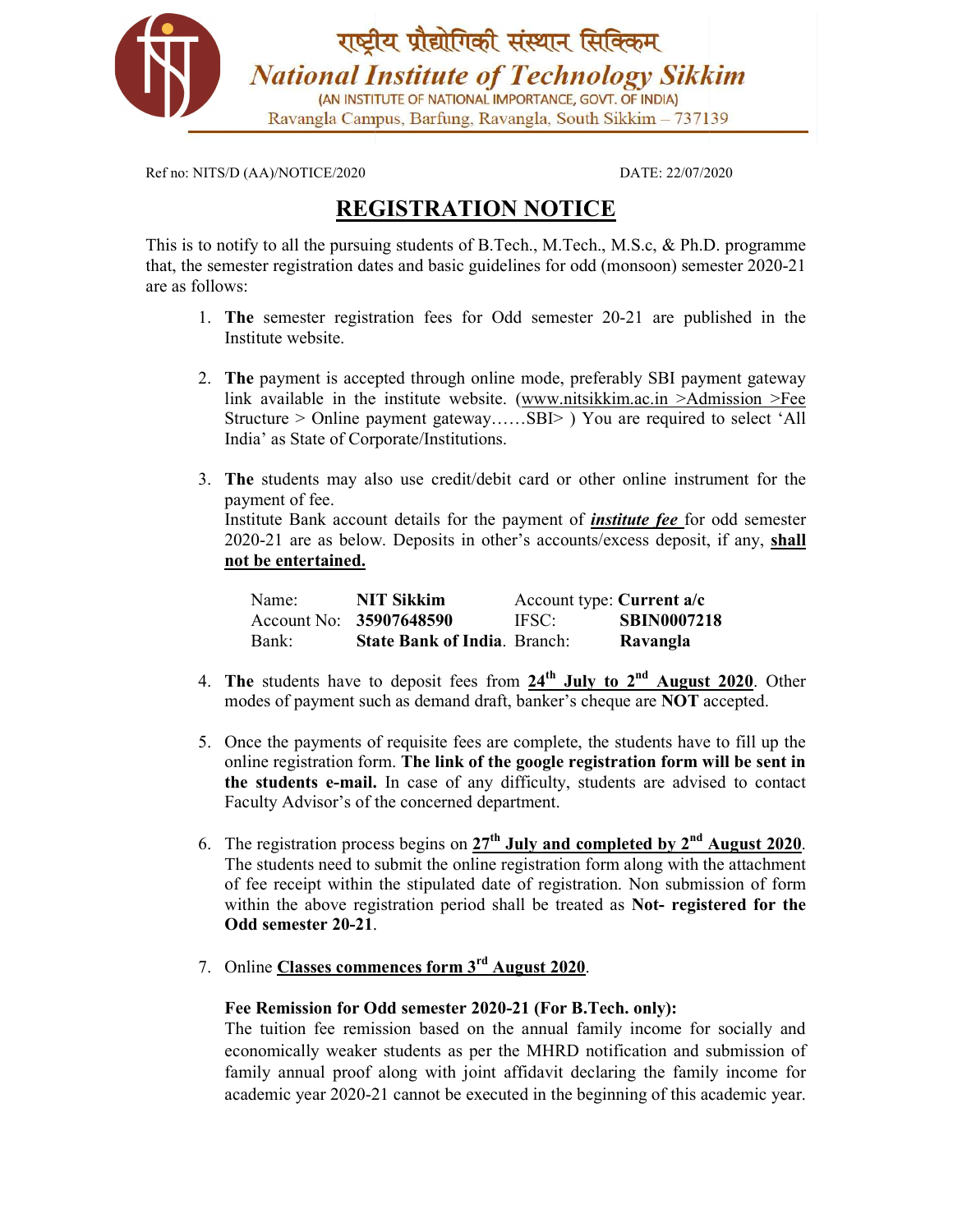

Ref no: NITS/D (AA)/NOTICE/2020

DATE: 22/07/2020

## REGISTRATION NOTICE

This is to notify to all the pursuing students of B.Tech., M.Tech., M.S.c, & Ph.D. programme that, the semester registration dates and basic guidelines for odd (monsoon) semester 2020-21 are as follows:

- 1. The semester registration fees for Odd semester 20-21 are published in the Institute website. 2. The payment is accepted through online mode, preferably SBI payment gateway
- link available in the institute website. (www.nitsikkim.ac.in >Admission >Fee Structure > Online payment gateway……SBI> ) You are required to select 'All India' as State of Corporate/Institutions. www.nitsikkim.ac.in >Admission >Fee<br>
.SBI> ) You are required to select 'All<br>
card or other online instrument for the
- 3. The students may also use credit/debit card or other online instrument for the payment of fee. Institute Bank account details for the payment of *institute fee* for odd semester 2020-21 are as below. Deposits in other's accounts/excess deposit, if any, **shall**<br> **not be entertained.**<br>
Name: **NIT Sikkim** Account type: Current a/c not be entertained.

| Name: | NIT Sikkim                          | Account type: Current $a/c$ |                    |
|-------|-------------------------------------|-----------------------------|--------------------|
|       | Account No: 35907648590             | IFSC:                       | <b>SBIN0007218</b> |
| Bank: | <b>State Bank of India.</b> Branch: |                             | Ravangla           |

- 4. The students have to deposit fees from  $24<sup>th</sup>$  July to  $2<sup>nd</sup>$  August 2020. Other modes of payment such as demand draft, banker's cheque are NOT accepted.
- 5. Once the payments of requisite fees are complete, the students have to fill up the online registration form. The link of the google registration form will be sent in the students e-mail. In case of any difficulty, students are advised to contact Faculty Advisor's of the concerned department.
- 6. The registration process begins on  $27<sup>th</sup>$  July and completed by  $2<sup>nd</sup>$  August 2020. The students need to submit the online registration form along with the attachment of fee receipt within the stipulated date of registration. Non submiss within the above registration period shall be treated as Not- registered for the Odd semester 20-21. students are advised to contact<br>
completed by 2<sup>nd</sup> August 2020.<br>
I form along with the attachment<br>
ration. Non submission of form
- 7. Online Classes commences form  $3<sup>rd</sup>$  August 2020.

## Fee Remission for Odd semester 2020-21 (For B.Tech. only):

The tuition fee remission based on the annual family income for socially and economically weaker students as per the MHRD notification and submission of family annual proof along with joint affidavit declaring the family income for academic year 2020-21 cannot be executed in the beginning of this academic year. he tuition fee remission based on the annual family income for socially and<br>conomically weaker students as per the MHRD notification and submission of<br>umily annual proof along with joint affidavit declaring the family inco